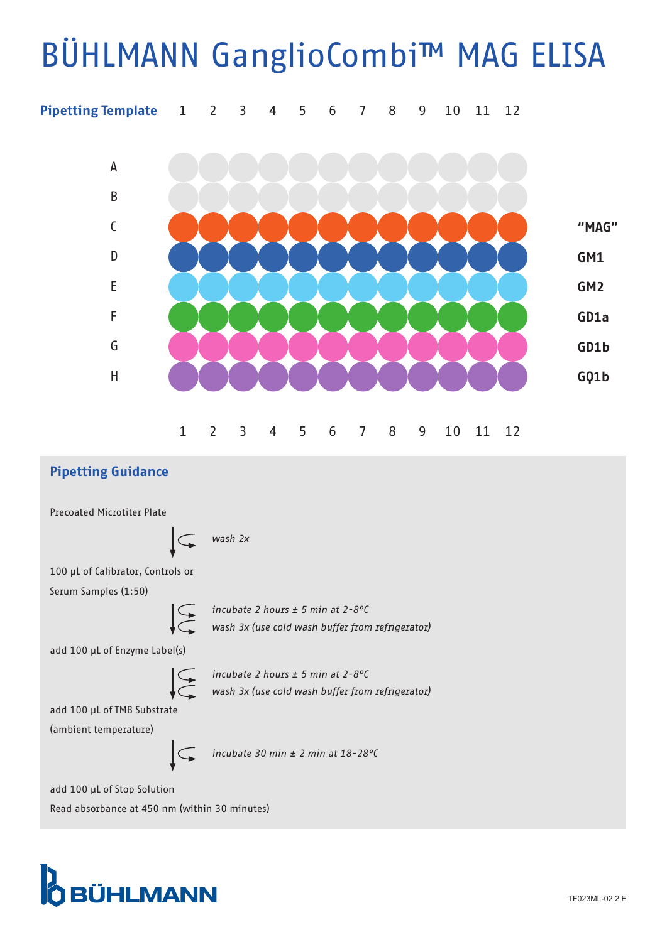## BÜHLMANN GanglioCombi™ MAG ELISA



## Pipetting Guidance

Precoated Microtiter Plate



100 μL of Calibrator, Controls or Serum Samples (1:50)



*incubate 2 hours ± 5 min at 2-8°C wash 3x (use cold wash buffer from refrigerator)*

add 100 μL of Enzyme Label(s)



*incubate 2 hours ± 5 min at 2-8°C wash 3x (use cold wash buffer from refrigerator)*

add 100 μL of TMB Substrate (ambient temperature)

 $\subset$ 

*incubate 30 min ± 2 min at 18-28°C*

add 100 μL of Stop Solution Read absorbance at 450 nm (within 30 minutes)

## **O** BÜHLMANN